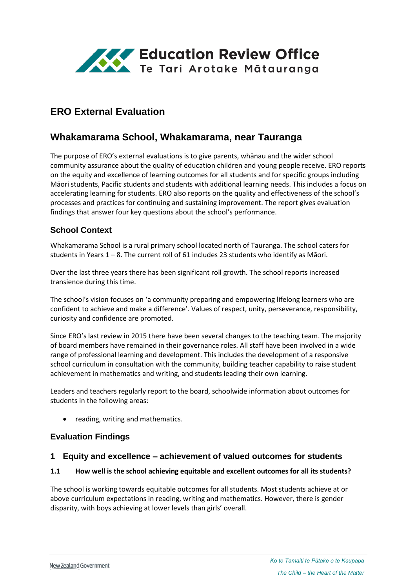

# **ERO External Evaluation**

## **Whakamarama School, Whakamarama, near Tauranga**

The purpose of ERO's external evaluations is to give parents, whānau and the wider school community assurance about the quality of education children and young people receive. ERO reports on the equity and excellence of learning outcomes for all students and for specific groups including Māori students, Pacific students and students with additional learning needs. This includes a focus on accelerating learning for students. ERO also reports on the quality and effectiveness of the school's processes and practices for continuing and sustaining improvement. The report gives evaluation findings that answer four key questions about the school's performance.

### **School Context**

Whakamarama School is a rural primary school located north of Tauranga. The school caters for students in Years 1 – 8. The current roll of 61 includes 23 students who identify as Māori.

Over the last three years there has been significant roll growth. The school reports increased transience during this time.

The school's vision focuses on 'a community preparing and empowering lifelong learners who are confident to achieve and make a difference'. Values of respect, unity, perseverance, responsibility, curiosity and confidence are promoted.

Since ERO's last review in 2015 there have been several changes to the teaching team. The majority of board members have remained in their governance roles. All staff have been involved in a wide range of professional learning and development. This includes the development of a responsive school curriculum in consultation with the community, building teacher capability to raise student achievement in mathematics and writing, and students leading their own learning.

Leaders and teachers regularly report to the board, schoolwide information about outcomes for students in the following areas:

reading, writing and mathematics.

#### **Evaluation Findings**

#### **1 Equity and excellence – achievement of valued outcomes for students**

#### **1.1 How well is the school achieving equitable and excellent outcomes for all its students?**

The school is working towards equitable outcomes for all students. Most students achieve at or above curriculum expectations in reading, writing and mathematics. However, there is gender disparity, with boys achieving at lower levels than girls' overall.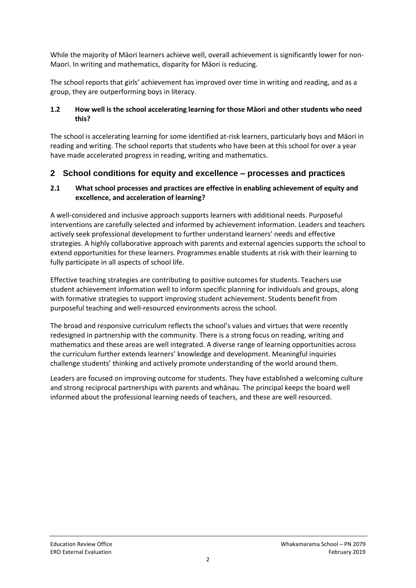While the majority of Māori learners achieve well, overall achievement is significantly lower for non-Maori. In writing and mathematics, disparity for Māori is reducing.

The school reports that girls' achievement has improved over time in writing and reading, and as a group, they are outperforming boys in literacy.

#### **1.2 How well is the school accelerating learning for those Māori and other students who need this?**

The school is accelerating learning for some identified at-risk learners, particularly boys and Māori in reading and writing. The school reports that students who have been at this school for over a year have made accelerated progress in reading, writing and mathematics.

## **2 School conditions for equity and excellence – processes and practices**

#### **2.1 What school processes and practices are effective in enabling achievement of equity and excellence, and acceleration of learning?**

A well-considered and inclusive approach supports learners with additional needs. Purposeful interventions are carefully selected and informed by achievement information. Leaders and teachers actively seek professional development to further understand learners' needs and effective strategies. A highly collaborative approach with parents and external agencies supports the school to extend opportunities for these learners. Programmes enable students at risk with their learning to fully participate in all aspects of school life.

Effective teaching strategies are contributing to positive outcomes for students. Teachers use student achievement information well to inform specific planning for individuals and groups, along with formative strategies to support improving student achievement. Students benefit from purposeful teaching and well-resourced environments across the school.

The broad and responsive curriculum reflects the school's values and virtues that were recently redesigned in partnership with the community. There is a strong focus on reading, writing and mathematics and these areas are well integrated. A diverse range of learning opportunities across the curriculum further extends learners' knowledge and development. Meaningful inquiries challenge students' thinking and actively promote understanding of the world around them.

Leaders are focused on improving outcome for students. They have established a welcoming culture and strong reciprocal partnerships with parents and whānau. The principal keeps the board well informed about the professional learning needs of teachers, and these are well resourced.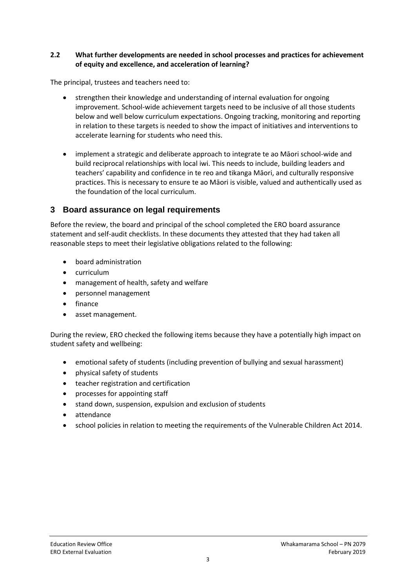#### **2.2 What further developments are needed in school processes and practices for achievement of equity and excellence, and acceleration of learning?**

The principal, trustees and teachers need to:

- strengthen their knowledge and understanding of internal evaluation for ongoing improvement. School-wide achievement targets need to be inclusive of all those students below and well below curriculum expectations. Ongoing tracking, monitoring and reporting in relation to these targets is needed to show the impact of initiatives and interventions to accelerate learning for students who need this.
- implement a strategic and deliberate approach to integrate te ao Māori school-wide and build reciprocal relationships with local iwi. This needs to include, building leaders and teachers' capability and confidence in te reo and tikanga Māori, and culturally responsive practices. This is necessary to ensure te ao Māori is visible, valued and authentically used as the foundation of the local curriculum.

## **3 Board assurance on legal requirements**

Before the review, the board and principal of the school completed the ERO board assurance statement and self-audit checklists. In these documents they attested that they had taken all reasonable steps to meet their legislative obligations related to the following:

- board administration
- curriculum
- management of health, safety and welfare
- personnel management
- finance
- asset management.

During the review, ERO checked the following items because they have a potentially high impact on student safety and wellbeing:

- emotional safety of students (including prevention of bullying and sexual harassment)
- physical safety of students
- teacher registration and certification
- processes for appointing staff
- stand down, suspension, expulsion and exclusion of students
- attendance
- school policies in relation to meeting the requirements of the Vulnerable Children Act 2014.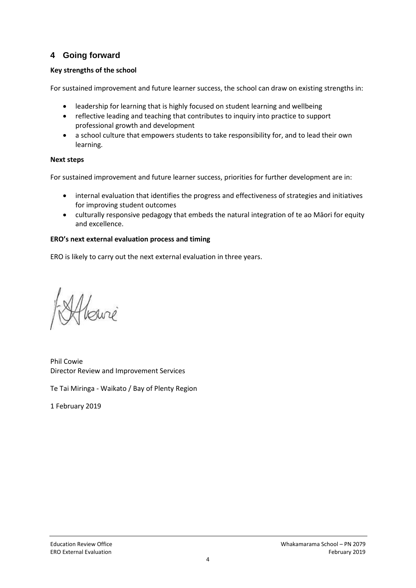## **4 Going forward**

### **Key strengths of the school**

For sustained improvement and future learner success, the school can draw on existing strengths in:

- leadership for learning that is highly focused on student learning and wellbeing
- reflective leading and teaching that contributes to inquiry into practice to support professional growth and development
- a school culture that empowers students to take responsibility for, and to lead their own learning.

#### **Next steps**

For sustained improvement and future learner success, priorities for further development are in:

- internal evaluation that identifies the progress and effectiveness of strategies and initiatives for improving student outcomes
- culturally responsive pedagogy that embeds the natural integration of te ao Māori for equity and excellence.

#### **ERO's next external evaluation process and timing**

ERO is likely to carry out the next external evaluation in three years.

Phil Cowie Director Review and Improvement Services

Te Tai Miringa - Waikato / Bay of Plenty Region

1 February 2019